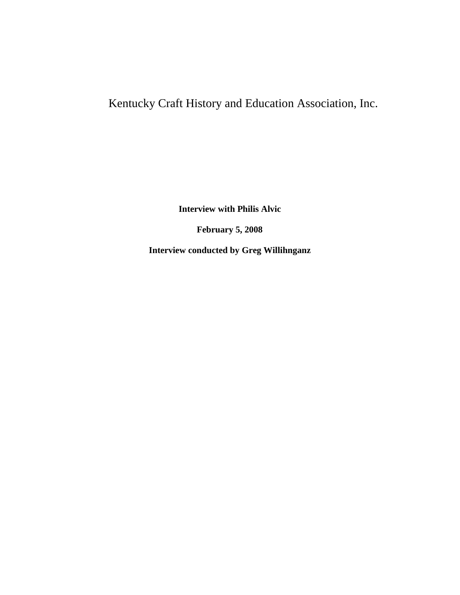# Kentucky Craft History and Education Association, Inc.

**Interview with Philis Alvic**

**February 5, 2008**

**Interview conducted by Greg Willihnganz**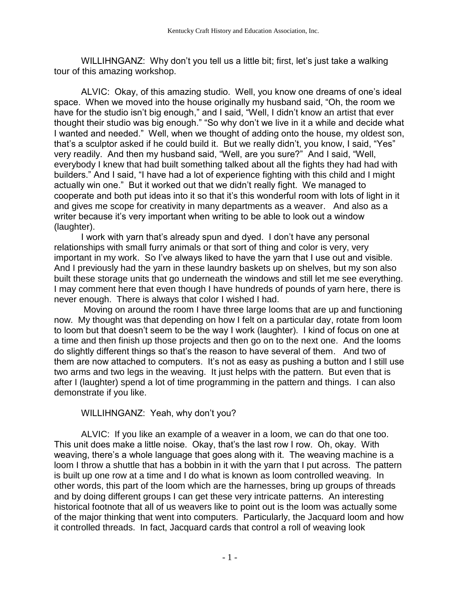WILLIHNGANZ: Why don't you tell us a little bit; first, let's just take a walking tour of this amazing workshop.

ALVIC: Okay, of this amazing studio. Well, you know one dreams of one's ideal space. When we moved into the house originally my husband said, "Oh, the room we have for the studio isn't big enough," and I said, "Well, I didn't know an artist that ever thought their studio was big enough." "So why don't we live in it a while and decide what I wanted and needed." Well, when we thought of adding onto the house, my oldest son, that's a sculptor asked if he could build it. But we really didn't, you know, I said, "Yes" very readily. And then my husband said, "Well, are you sure?" And I said, "Well, everybody I knew that had built something talked about all the fights they had had with builders." And I said, "I have had a lot of experience fighting with this child and I might actually win one." But it worked out that we didn't really fight. We managed to cooperate and both put ideas into it so that it's this wonderful room with lots of light in it and gives me scope for creativity in many departments as a weaver. And also as a writer because it's very important when writing to be able to look out a window (laughter).

I work with yarn that's already spun and dyed. I don't have any personal relationships with small furry animals or that sort of thing and color is very, very important in my work. So I've always liked to have the yarn that I use out and visible. And I previously had the yarn in these laundry baskets up on shelves, but my son also built these storage units that go underneath the windows and still let me see everything. I may comment here that even though I have hundreds of pounds of yarn here, there is never enough. There is always that color I wished I had.

Moving on around the room I have three large looms that are up and functioning now. My thought was that depending on how I felt on a particular day, rotate from loom to loom but that doesn't seem to be the way I work (laughter). I kind of focus on one at a time and then finish up those projects and then go on to the next one. And the looms do slightly different things so that's the reason to have several of them. And two of them are now attached to computers. It's not as easy as pushing a button and I still use two arms and two legs in the weaving. It just helps with the pattern. But even that is after I (laughter) spend a lot of time programming in the pattern and things. I can also demonstrate if you like.

## WILLIHNGANZ: Yeah, why don't you?

ALVIC: If you like an example of a weaver in a loom, we can do that one too. This unit does make a little noise. Okay, that's the last row I row. Oh, okay. With weaving, there's a whole language that goes along with it. The weaving machine is a loom I throw a shuttle that has a bobbin in it with the yarn that I put across. The pattern is built up one row at a time and I do what is known as loom controlled weaving. In other words, this part of the loom which are the harnesses, bring up groups of threads and by doing different groups I can get these very intricate patterns. An interesting historical footnote that all of us weavers like to point out is the loom was actually some of the major thinking that went into computers. Particularly, the Jacquard loom and how it controlled threads. In fact, Jacquard cards that control a roll of weaving look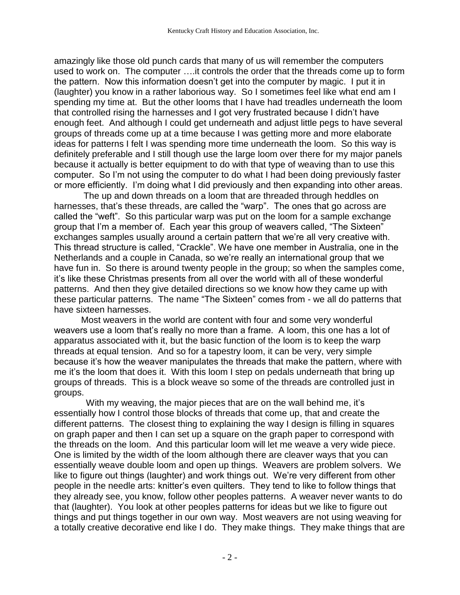amazingly like those old punch cards that many of us will remember the computers used to work on. The computer ….it controls the order that the threads come up to form the pattern. Now this information doesn't get into the computer by magic. I put it in (laughter) you know in a rather laborious way. So I sometimes feel like what end am I spending my time at. But the other looms that I have had treadles underneath the loom that controlled rising the harnesses and I got very frustrated because I didn't have enough feet. And although I could get underneath and adjust little pegs to have several groups of threads come up at a time because I was getting more and more elaborate ideas for patterns I felt I was spending more time underneath the loom. So this way is definitely preferable and I still though use the large loom over there for my major panels because it actually is better equipment to do with that type of weaving than to use this computer. So I'm not using the computer to do what I had been doing previously faster or more efficiently. I'm doing what I did previously and then expanding into other areas.

The up and down threads on a loom that are threaded through heddles on harnesses, that's these threads, are called the "warp". The ones that go across are called the "weft". So this particular warp was put on the loom for a sample exchange group that I'm a member of. Each year this group of weavers called, "The Sixteen" exchanges samples usually around a certain pattern that we're all very creative with. This thread structure is called, "Crackle". We have one member in Australia, one in the Netherlands and a couple in Canada, so we're really an international group that we have fun in. So there is around twenty people in the group; so when the samples come, it's like these Christmas presents from all over the world with all of these wonderful patterns. And then they give detailed directions so we know how they came up with these particular patterns. The name "The Sixteen" comes from - we all do patterns that have sixteen harnesses.

Most weavers in the world are content with four and some very wonderful weavers use a loom that's really no more than a frame. A loom, this one has a lot of apparatus associated with it, but the basic function of the loom is to keep the warp threads at equal tension. And so for a tapestry loom, it can be very, very simple because it's how the weaver manipulates the threads that make the pattern, where with me it's the loom that does it. With this loom I step on pedals underneath that bring up groups of threads. This is a block weave so some of the threads are controlled just in groups.

 With my weaving, the major pieces that are on the wall behind me, it's essentially how I control those blocks of threads that come up, that and create the different patterns. The closest thing to explaining the way I design is filling in squares on graph paper and then I can set up a square on the graph paper to correspond with the threads on the loom. And this particular loom will let me weave a very wide piece. One is limited by the width of the loom although there are cleaver ways that you can essentially weave double loom and open up things. Weavers are problem solvers. We like to figure out things (laughter) and work things out. We're very different from other people in the needle arts: knitter's even quilters. They tend to like to follow things that they already see, you know, follow other peoples patterns. A weaver never wants to do that (laughter). You look at other peoples patterns for ideas but we like to figure out things and put things together in our own way. Most weavers are not using weaving for a totally creative decorative end like I do. They make things. They make things that are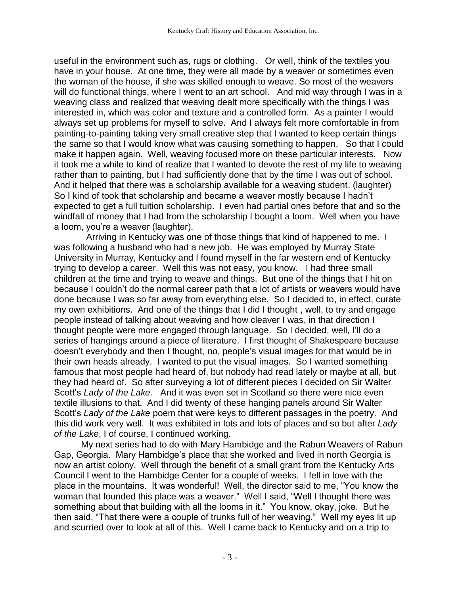useful in the environment such as, rugs or clothing. Or well, think of the textiles you have in your house. At one time, they were all made by a weaver or sometimes even the woman of the house, if she was skilled enough to weave. So most of the weavers will do functional things, where I went to an art school. And mid way through I was in a weaving class and realized that weaving dealt more specifically with the things I was interested in, which was color and texture and a controlled form. As a painter I would always set up problems for myself to solve. And I always felt more comfortable in from painting-to-painting taking very small creative step that I wanted to keep certain things the same so that I would know what was causing something to happen. So that I could make it happen again. Well, weaving focused more on these particular interests. Now it took me a while to kind of realize that I wanted to devote the rest of my life to weaving rather than to painting, but I had sufficiently done that by the time I was out of school. And it helped that there was a scholarship available for a weaving student. (laughter) So I kind of took that scholarship and became a weaver mostly because I hadn't expected to get a full tuition scholarship. I even had partial ones before that and so the windfall of money that I had from the scholarship I bought a loom. Well when you have a loom, you're a weaver (laughter).

 Arriving in Kentucky was one of those things that kind of happened to me. I was following a husband who had a new job. He was employed by Murray State University in Murray, Kentucky and I found myself in the far western end of Kentucky trying to develop a career. Well this was not easy, you know. I had three small children at the time and trying to weave and things. But one of the things that I hit on because I couldn't do the normal career path that a lot of artists or weavers would have done because I was so far away from everything else. So I decided to, in effect, curate my own exhibitions. And one of the things that I did I thought , well, to try and engage people instead of talking about weaving and how cleaver I was, in that direction I thought people were more engaged through language. So I decided, well, I'll do a series of hangings around a piece of literature. I first thought of Shakespeare because doesn't everybody and then I thought, no, people's visual images for that would be in their own heads already. I wanted to put the visual images. So I wanted something famous that most people had heard of, but nobody had read lately or maybe at all, but they had heard of. So after surveying a lot of different pieces I decided on Sir Walter Scott's *Lady of the Lake.* And it was even set in Scotland so there were nice even textile illusions to that. And I did twenty of these hanging panels around Sir Walter Scott's *Lady of the Lake* poem that were keys to different passages in the poetry. And this did work very well. It was exhibited in lots and lots of places and so but after *Lady of the Lake*, I of course, I continued working.

My next series had to do with Mary Hambidge and the Rabun Weavers of Rabun Gap, Georgia. Mary Hambidge's place that she worked and lived in north Georgia is now an artist colony. Well through the benefit of a small grant from the Kentucky Arts Council I went to the Hambidge Center for a couple of weeks. I fell in love with the place in the mountains. It was wonderful! Well, the director said to me, "You know the woman that founded this place was a weaver." Well I said, "Well I thought there was something about that building with all the looms in it." You know, okay, joke. But he then said, "That there were a couple of trunks full of her weaving." Well my eyes lit up and scurried over to look at all of this. Well I came back to Kentucky and on a trip to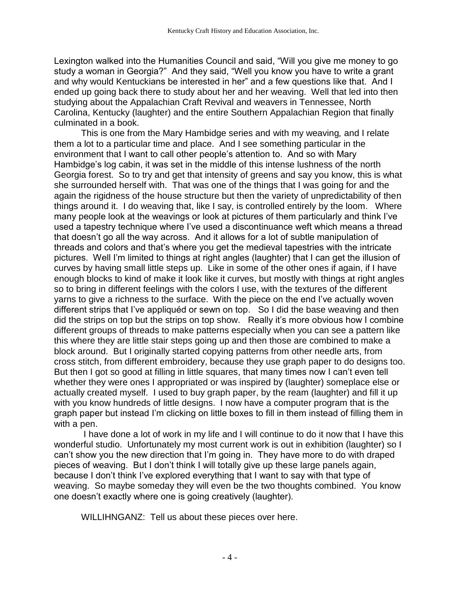Lexington walked into the Humanities Council and said, "Will you give me money to go study a woman in Georgia?" And they said, "Well you know you have to write a grant and why would Kentuckians be interested in her" and a few questions like that. And I ended up going back there to study about her and her weaving. Well that led into then studying about the Appalachian Craft Revival and weavers in Tennessee, North Carolina, Kentucky (laughter) and the entire Southern Appalachian Region that finally culminated in a book.

This is one from the Mary Hambidge series and with my weaving*,* and I relate them a lot to a particular time and place. And I see something particular in the environment that I want to call other people's attention to. And so with Mary Hambidge's log cabin, it was set in the middle of this intense lushness of the north Georgia forest. So to try and get that intensity of greens and say you know, this is what she surrounded herself with. That was one of the things that I was going for and the again the rigidness of the house structure but then the variety of unpredictability of then things around it. I do weaving that, like I say, is controlled entirely by the loom. Where many people look at the weavings or look at pictures of them particularly and think I've used a tapestry technique where I've used a discontinuance weft which means a thread that doesn't go all the way across. And it allows for a lot of subtle manipulation of threads and colors and that's where you get the medieval tapestries with the intricate pictures. Well I'm limited to things at right angles (laughter) that I can get the illusion of curves by having small little steps up. Like in some of the other ones if again, if I have enough blocks to kind of make it look like it curves, but mostly with things at right angles so to bring in different feelings with the colors I use, with the textures of the different yarns to give a richness to the surface. With the piece on the end I've actually woven different strips that I've appliquéd or sewn on top. So I did the base weaving and then did the strips on top but the strips on top show. Really it's more obvious how I combine different groups of threads to make patterns especially when you can see a pattern like this where they are little stair steps going up and then those are combined to make a block around. But I originally started copying patterns from other needle arts, from cross stitch, from different embroidery, because they use graph paper to do designs too. But then I got so good at filling in little squares, that many times now I can't even tell whether they were ones I appropriated or was inspired by (laughter) someplace else or actually created myself. I used to buy graph paper, by the ream (laughter) and fill it up with you know hundreds of little designs. I now have a computer program that is the graph paper but instead I'm clicking on little boxes to fill in them instead of filling them in with a pen.

I have done a lot of work in my life and I will continue to do it now that I have this wonderful studio. Unfortunately my most current work is out in exhibition (laughter) so I can't show you the new direction that I'm going in. They have more to do with draped pieces of weaving. But I don't think I will totally give up these large panels again, because I don't think I've explored everything that I want to say with that type of weaving. So maybe someday they will even be the two thoughts combined. You know one doesn't exactly where one is going creatively (laughter).

WILLIHNGANZ: Tell us about these pieces over here.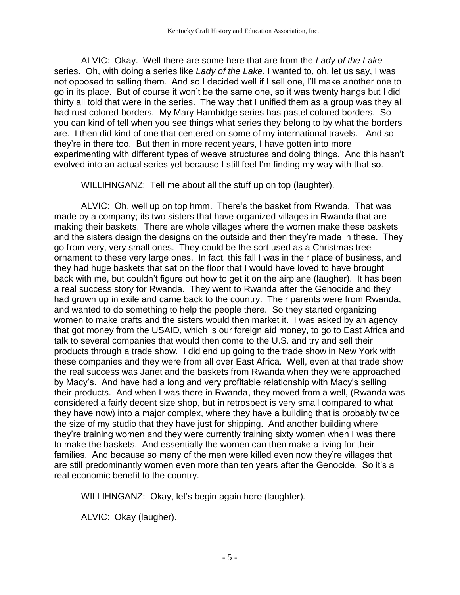ALVIC: Okay. Well there are some here that are from the *Lady of the Lake* series. Oh, with doing a series like *Lady of the Lake*, I wanted to, oh, let us say, I was not opposed to selling them. And so I decided well if I sell one, I'll make another one to go in its place. But of course it won't be the same one, so it was twenty hangs but I did thirty all told that were in the series. The way that I unified them as a group was they all had rust colored borders. My Mary Hambidge series has pastel colored borders. So you can kind of tell when you see things what series they belong to by what the borders are. I then did kind of one that centered on some of my international travels. And so they're in there too. But then in more recent years, I have gotten into more experimenting with different types of weave structures and doing things. And this hasn't evolved into an actual series yet because I still feel I'm finding my way with that so.

WILLIHNGANZ: Tell me about all the stuff up on top (laughter).

ALVIC: Oh, well up on top hmm. There's the basket from Rwanda. That was made by a company; its two sisters that have organized villages in Rwanda that are making their baskets. There are whole villages where the women make these baskets and the sisters design the designs on the outside and then they're made in these. They go from very, very small ones. They could be the sort used as a Christmas tree ornament to these very large ones. In fact, this fall I was in their place of business, and they had huge baskets that sat on the floor that I would have loved to have brought back with me, but couldn't figure out how to get it on the airplane (laugher). It has been a real success story for Rwanda. They went to Rwanda after the Genocide and they had grown up in exile and came back to the country. Their parents were from Rwanda, and wanted to do something to help the people there. So they started organizing women to make crafts and the sisters would then market it. I was asked by an agency that got money from the USAID, which is our foreign aid money, to go to East Africa and talk to several companies that would then come to the U.S. and try and sell their products through a trade show. I did end up going to the trade show in New York with these companies and they were from all over East Africa. Well, even at that trade show the real success was Janet and the baskets from Rwanda when they were approached by Macy's. And have had a long and very profitable relationship with Macy's selling their products. And when I was there in Rwanda, they moved from a well, (Rwanda was considered a fairly decent size shop, but in retrospect is very small compared to what they have now) into a major complex, where they have a building that is probably twice the size of my studio that they have just for shipping. And another building where they're training women and they were currently training sixty women when I was there to make the baskets. And essentially the women can then make a living for their families. And because so many of the men were killed even now they're villages that are still predominantly women even more than ten years after the Genocide. So it's a real economic benefit to the country.

WILLIHNGANZ: Okay, let's begin again here (laughter).

ALVIC: Okay (laugher).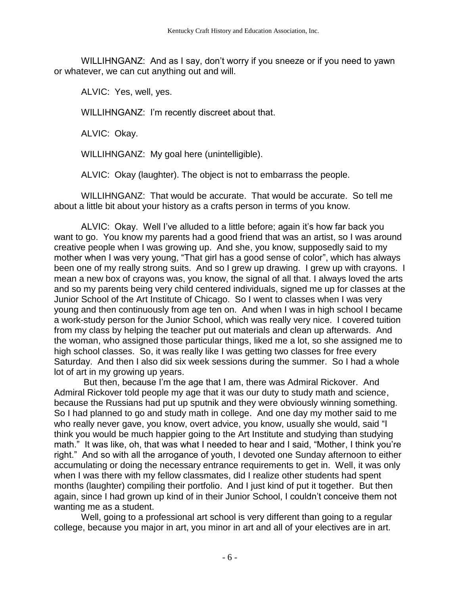WILLIHNGANZ: And as I say, don't worry if you sneeze or if you need to yawn or whatever, we can cut anything out and will.

ALVIC: Yes, well, yes.

WILLIHNGANZ: I'm recently discreet about that.

ALVIC: Okay.

WILLIHNGANZ: My goal here (unintelligible).

ALVIC: Okay (laughter). The object is not to embarrass the people.

WILLIHNGANZ: That would be accurate. That would be accurate. So tell me about a little bit about your history as a crafts person in terms of you know.

ALVIC: Okay. Well I've alluded to a little before; again it's how far back you want to go. You know my parents had a good friend that was an artist, so I was around creative people when I was growing up. And she, you know, supposedly said to my mother when I was very young, "That girl has a good sense of color", which has always been one of my really strong suits. And so I grew up drawing. I grew up with crayons. I mean a new box of crayons was, you know, the signal of all that. I always loved the arts and so my parents being very child centered individuals, signed me up for classes at the Junior School of the Art Institute of Chicago. So I went to classes when I was very young and then continuously from age ten on. And when I was in high school I became a work-study person for the Junior School, which was really very nice. I covered tuition from my class by helping the teacher put out materials and clean up afterwards. And the woman, who assigned those particular things, liked me a lot, so she assigned me to high school classes. So, it was really like I was getting two classes for free every Saturday. And then I also did six week sessions during the summer. So I had a whole lot of art in my growing up years.

But then, because I'm the age that I am, there was Admiral Rickover. And Admiral Rickover told people my age that it was our duty to study math and science, because the Russians had put up sputnik and they were obviously winning something. So I had planned to go and study math in college. And one day my mother said to me who really never gave, you know, overt advice, you know, usually she would, said "I think you would be much happier going to the Art Institute and studying than studying math." It was like, oh, that was what I needed to hear and I said, "Mother, I think you're right." And so with all the arrogance of youth, I devoted one Sunday afternoon to either accumulating or doing the necessary entrance requirements to get in. Well, it was only when I was there with my fellow classmates, did I realize other students had spent months (laughter) compiling their portfolio. And I just kind of put it together. But then again, since I had grown up kind of in their Junior School, I couldn't conceive them not wanting me as a student.

Well, going to a professional art school is very different than going to a regular college, because you major in art, you minor in art and all of your electives are in art.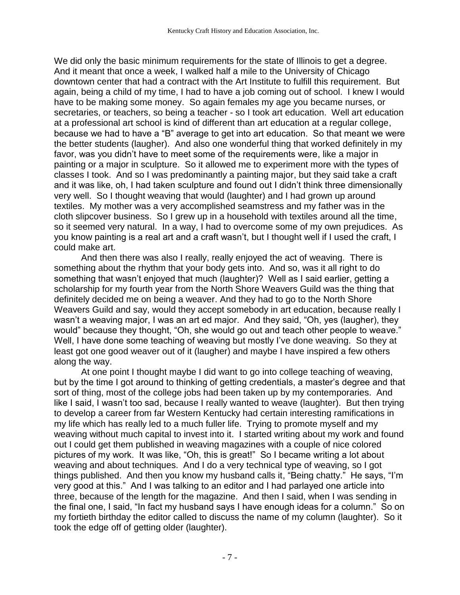We did only the basic minimum requirements for the state of Illinois to get a degree. And it meant that once a week, I walked half a mile to the University of Chicago downtown center that had a contract with the Art Institute to fulfill this requirement. But again, being a child of my time, I had to have a job coming out of school. I knew I would have to be making some money. So again females my age you became nurses, or secretaries, or teachers, so being a teacher - so I took art education. Well art education at a professional art school is kind of different than art education at a regular college, because we had to have a "B" average to get into art education. So that meant we were the better students (laugher). And also one wonderful thing that worked definitely in my favor, was you didn't have to meet some of the requirements were, like a major in painting or a major in sculpture. So it allowed me to experiment more with the types of classes I took. And so I was predominantly a painting major, but they said take a craft and it was like, oh, I had taken sculpture and found out I didn't think three dimensionally very well. So I thought weaving that would (laughter) and I had grown up around textiles. My mother was a very accomplished seamstress and my father was in the cloth slipcover business. So I grew up in a household with textiles around all the time, so it seemed very natural. In a way, I had to overcome some of my own prejudices. As you know painting is a real art and a craft wasn't, but I thought well if I used the craft, I could make art.

And then there was also I really, really enjoyed the act of weaving. There is something about the rhythm that your body gets into. And so, was it all right to do something that wasn't enjoyed that much (laughter)? Well as I said earlier, getting a scholarship for my fourth year from the North Shore Weavers Guild was the thing that definitely decided me on being a weaver. And they had to go to the North Shore Weavers Guild and say, would they accept somebody in art education, because really I wasn't a weaving major, I was an art ed major. And they said, "Oh, yes (laugher), they would" because they thought, "Oh, she would go out and teach other people to weave." Well, I have done some teaching of weaving but mostly I've done weaving. So they at least got one good weaver out of it (laugher) and maybe I have inspired a few others along the way.

At one point I thought maybe I did want to go into college teaching of weaving, but by the time I got around to thinking of getting credentials, a master's degree and that sort of thing, most of the college jobs had been taken up by my contemporaries. And like I said, I wasn't too sad, because I really wanted to weave (laughter). But then trying to develop a career from far Western Kentucky had certain interesting ramifications in my life which has really led to a much fuller life. Trying to promote myself and my weaving without much capital to invest into it. I started writing about my work and found out I could get them published in weaving magazines with a couple of nice colored pictures of my work. It was like, "Oh, this is great!" So I became writing a lot about weaving and about techniques. And I do a very technical type of weaving, so I got things published. And then you know my husband calls it, "Being chatty." He says, "I'm very good at this." And I was talking to an editor and I had parlayed one article into three, because of the length for the magazine. And then I said, when I was sending in the final one, I said, "In fact my husband says I have enough ideas for a column." So on my fortieth birthday the editor called to discuss the name of my column (laughter). So it took the edge off of getting older (laughter).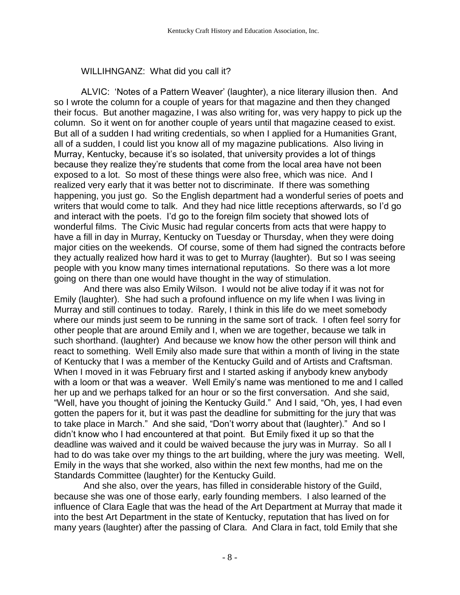## WILLIHNGANZ: What did you call it?

ALVIC: 'Notes of a Pattern Weaver' (laughter), a nice literary illusion then. And so I wrote the column for a couple of years for that magazine and then they changed their focus. But another magazine, I was also writing for, was very happy to pick up the column. So it went on for another couple of years until that magazine ceased to exist. But all of a sudden I had writing credentials, so when I applied for a Humanities Grant, all of a sudden, I could list you know all of my magazine publications. Also living in Murray, Kentucky, because it's so isolated, that university provides a lot of things because they realize they're students that come from the local area have not been exposed to a lot. So most of these things were also free, which was nice. And I realized very early that it was better not to discriminate. If there was something happening, you just go. So the English department had a wonderful series of poets and writers that would come to talk. And they had nice little receptions afterwards, so I'd go and interact with the poets. I'd go to the foreign film society that showed lots of wonderful films. The Civic Music had regular concerts from acts that were happy to have a fill in day in Murray, Kentucky on Tuesday or Thursday, when they were doing major cities on the weekends. Of course, some of them had signed the contracts before they actually realized how hard it was to get to Murray (laughter). But so I was seeing people with you know many times international reputations. So there was a lot more going on there than one would have thought in the way of stimulation.

And there was also Emily Wilson. I would not be alive today if it was not for Emily (laughter). She had such a profound influence on my life when I was living in Murray and still continues to today. Rarely, I think in this life do we meet somebody where our minds just seem to be running in the same sort of track. I often feel sorry for other people that are around Emily and I, when we are together, because we talk in such shorthand. (laughter) And because we know how the other person will think and react to something. Well Emily also made sure that within a month of living in the state of Kentucky that I was a member of the Kentucky Guild and of Artists and Craftsman. When I moved in it was February first and I started asking if anybody knew anybody with a loom or that was a weaver. Well Emily's name was mentioned to me and I called her up and we perhaps talked for an hour or so the first conversation. And she said, "Well, have you thought of joining the Kentucky Guild." And I said, "Oh, yes, I had even gotten the papers for it, but it was past the deadline for submitting for the jury that was to take place in March." And she said, "Don't worry about that (laughter)." And so I didn't know who I had encountered at that point. But Emily fixed it up so that the deadline was waived and it could be waived because the jury was in Murray. So all I had to do was take over my things to the art building, where the jury was meeting. Well, Emily in the ways that she worked, also within the next few months, had me on the Standards Committee (laughter) for the Kentucky Guild.

And she also, over the years, has filled in considerable history of the Guild, because she was one of those early, early founding members. I also learned of the influence of Clara Eagle that was the head of the Art Department at Murray that made it into the best Art Department in the state of Kentucky, reputation that has lived on for many years (laughter) after the passing of Clara. And Clara in fact, told Emily that she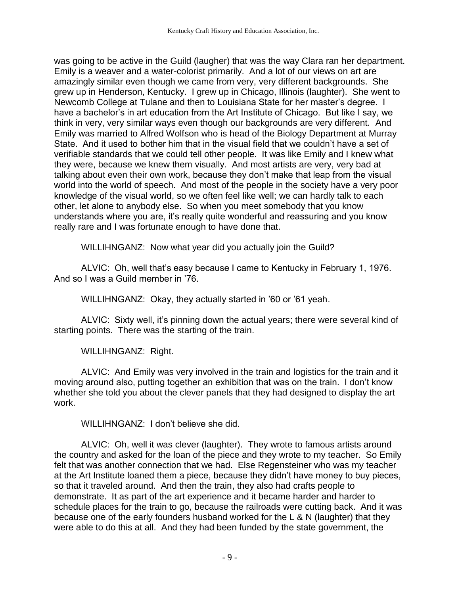was going to be active in the Guild (laugher) that was the way Clara ran her department. Emily is a weaver and a water-colorist primarily. And a lot of our views on art are amazingly similar even though we came from very, very different backgrounds. She grew up in Henderson, Kentucky. I grew up in Chicago, Illinois (laughter). She went to Newcomb College at Tulane and then to Louisiana State for her master's degree. I have a bachelor's in art education from the Art Institute of Chicago. But like I say, we think in very, very similar ways even though our backgrounds are very different. And Emily was married to Alfred Wolfson who is head of the Biology Department at Murray State. And it used to bother him that in the visual field that we couldn't have a set of verifiable standards that we could tell other people. It was like Emily and I knew what they were, because we knew them visually. And most artists are very, very bad at talking about even their own work, because they don't make that leap from the visual world into the world of speech. And most of the people in the society have a very poor knowledge of the visual world, so we often feel like well; we can hardly talk to each other, let alone to anybody else. So when you meet somebody that you know understands where you are, it's really quite wonderful and reassuring and you know really rare and I was fortunate enough to have done that.

WILLIHNGANZ: Now what year did you actually join the Guild?

ALVIC: Oh, well that's easy because I came to Kentucky in February 1, 1976. And so I was a Guild member in '76.

WILLIHNGANZ: Okay, they actually started in '60 or '61 yeah.

ALVIC: Sixty well, it's pinning down the actual years; there were several kind of starting points. There was the starting of the train.

WILLIHNGANZ: Right.

ALVIC: And Emily was very involved in the train and logistics for the train and it moving around also, putting together an exhibition that was on the train. I don't know whether she told you about the clever panels that they had designed to display the art work.

WILLIHNGANZ: I don't believe she did.

ALVIC: Oh, well it was clever (laughter). They wrote to famous artists around the country and asked for the loan of the piece and they wrote to my teacher. So Emily felt that was another connection that we had. Else Regensteiner who was my teacher at the Art Institute loaned them a piece, because they didn't have money to buy pieces, so that it traveled around. And then the train, they also had crafts people to demonstrate. It as part of the art experience and it became harder and harder to schedule places for the train to go, because the railroads were cutting back. And it was because one of the early founders husband worked for the L & N (laughter) that they were able to do this at all. And they had been funded by the state government, the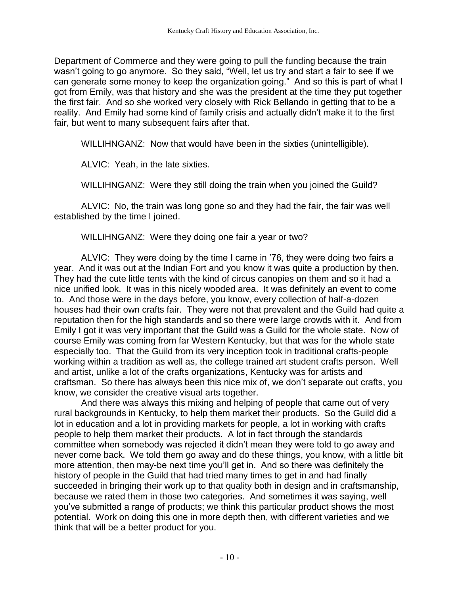Department of Commerce and they were going to pull the funding because the train wasn't going to go anymore. So they said, "Well, let us try and start a fair to see if we can generate some money to keep the organization going." And so this is part of what I got from Emily, was that history and she was the president at the time they put together the first fair. And so she worked very closely with Rick Bellando in getting that to be a reality. And Emily had some kind of family crisis and actually didn't make it to the first fair, but went to many subsequent fairs after that.

WILLIHNGANZ: Now that would have been in the sixties (unintelligible).

ALVIC: Yeah, in the late sixties.

WILLIHNGANZ: Were they still doing the train when you joined the Guild?

ALVIC: No, the train was long gone so and they had the fair, the fair was well established by the time I joined.

WILLIHNGANZ: Were they doing one fair a year or two?

ALVIC: They were doing by the time I came in '76, they were doing two fairs a year. And it was out at the Indian Fort and you know it was quite a production by then. They had the cute little tents with the kind of circus canopies on them and so it had a nice unified look. It was in this nicely wooded area. It was definitely an event to come to. And those were in the days before, you know, every collection of half-a-dozen houses had their own crafts fair. They were not that prevalent and the Guild had quite a reputation then for the high standards and so there were large crowds with it. And from Emily I got it was very important that the Guild was a Guild for the whole state. Now of course Emily was coming from far Western Kentucky, but that was for the whole state especially too. That the Guild from its very inception took in traditional crafts-people working within a tradition as well as, the college trained art student crafts person. Well and artist, unlike a lot of the crafts organizations, Kentucky was for artists and craftsman. So there has always been this nice mix of, we don't separate out crafts, you know, we consider the creative visual arts together.

And there was always this mixing and helping of people that came out of very rural backgrounds in Kentucky, to help them market their products. So the Guild did a lot in education and a lot in providing markets for people, a lot in working with crafts people to help them market their products. A lot in fact through the standards committee when somebody was rejected it didn't mean they were told to go away and never come back. We told them go away and do these things, you know, with a little bit more attention, then may-be next time you'll get in. And so there was definitely the history of people in the Guild that had tried many times to get in and had finally succeeded in bringing their work up to that quality both in design and in craftsmanship, because we rated them in those two categories. And sometimes it was saying, well you've submitted a range of products; we think this particular product shows the most potential. Work on doing this one in more depth then, with different varieties and we think that will be a better product for you.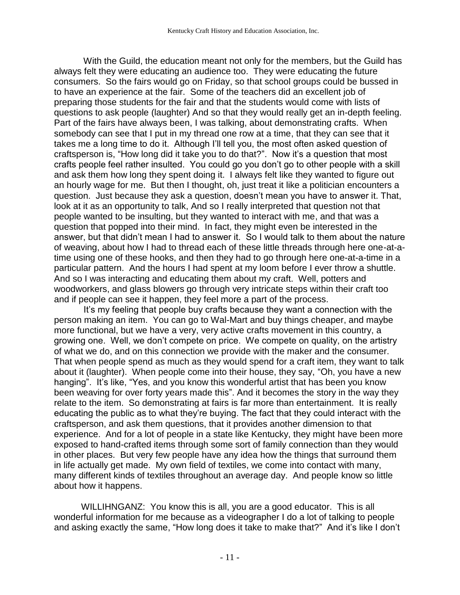With the Guild, the education meant not only for the members, but the Guild has always felt they were educating an audience too. They were educating the future consumers. So the fairs would go on Friday, so that school groups could be bussed in to have an experience at the fair. Some of the teachers did an excellent job of preparing those students for the fair and that the students would come with lists of questions to ask people (laughter) And so that they would really get an in-depth feeling. Part of the fairs have always been, I was talking, about demonstrating crafts. When somebody can see that I put in my thread one row at a time, that they can see that it takes me a long time to do it. Although I'll tell you, the most often asked question of craftsperson is, "How long did it take you to do that?". Now it's a question that most crafts people feel rather insulted. You could go you don't go to other people with a skill and ask them how long they spent doing it. I always felt like they wanted to figure out an hourly wage for me. But then I thought, oh, just treat it like a politician encounters a question. Just because they ask a question, doesn't mean you have to answer it. That, look at it as an opportunity to talk, And so I really interpreted that question not that people wanted to be insulting, but they wanted to interact with me, and that was a question that popped into their mind. In fact, they might even be interested in the answer, but that didn't mean I had to answer it. So I would talk to them about the nature of weaving, about how I had to thread each of these little threads through here one-at-atime using one of these hooks, and then they had to go through here one-at-a-time in a particular pattern. And the hours I had spent at my loom before I ever throw a shuttle. And so I was interacting and educating them about my craft. Well, potters and woodworkers, and glass blowers go through very intricate steps within their craft too and if people can see it happen, they feel more a part of the process.

It's my feeling that people buy crafts because they want a connection with the person making an item. You can go to Wal-Mart and buy things cheaper, and maybe more functional, but we have a very, very active crafts movement in this country, a growing one. Well, we don't compete on price. We compete on quality, on the artistry of what we do, and on this connection we provide with the maker and the consumer. That when people spend as much as they would spend for a craft item, they want to talk about it (laughter). When people come into their house, they say, "Oh, you have a new hanging". It's like, "Yes, and you know this wonderful artist that has been you know been weaving for over forty years made this". And it becomes the story in the way they relate to the item. So demonstrating at fairs is far more than entertainment. It is really educating the public as to what they're buying. The fact that they could interact with the craftsperson, and ask them questions, that it provides another dimension to that experience. And for a lot of people in a state like Kentucky, they might have been more exposed to hand-crafted items through some sort of family connection than they would in other places. But very few people have any idea how the things that surround them in life actually get made. My own field of textiles, we come into contact with many, many different kinds of textiles throughout an average day. And people know so little about how it happens.

WILLIHNGANZ: You know this is all, you are a good educator. This is all wonderful information for me because as a videographer I do a lot of talking to people and asking exactly the same, "How long does it take to make that?" And it's like I don't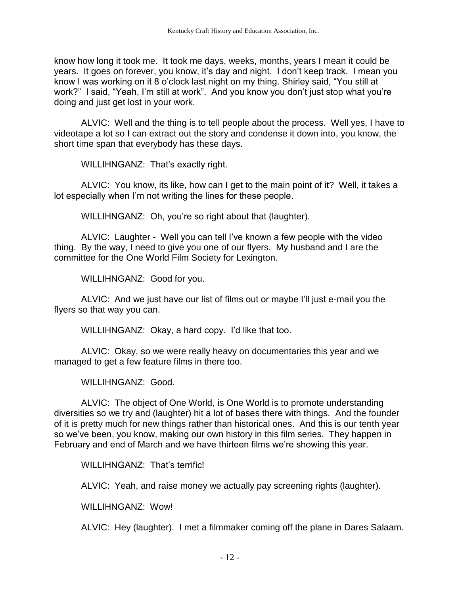know how long it took me. It took me days, weeks, months, years I mean it could be years. It goes on forever, you know, it's day and night. I don't keep track. I mean you know I was working on it 8 o'clock last night on my thing. Shirley said, "You still at work?" I said, "Yeah, I'm still at work". And you know you don't just stop what you're doing and just get lost in your work.

ALVIC: Well and the thing is to tell people about the process. Well yes, I have to videotape a lot so I can extract out the story and condense it down into, you know, the short time span that everybody has these days.

WILLIHNGANZ: That's exactly right.

ALVIC: You know, its like, how can I get to the main point of it? Well, it takes a lot especially when I'm not writing the lines for these people.

WILLIHNGANZ: Oh, you're so right about that (laughter).

ALVIC: Laughter - Well you can tell I've known a few people with the video thing. By the way, I need to give you one of our flyers. My husband and I are the committee for the One World Film Society for Lexington.

WILLIHNGANZ: Good for you.

ALVIC: And we just have our list of films out or maybe I'll just e-mail you the flyers so that way you can.

WILLIHNGANZ: Okay, a hard copy. I'd like that too.

ALVIC: Okay, so we were really heavy on documentaries this year and we managed to get a few feature films in there too.

WILLIHNGANZ: Good.

ALVIC: The object of One World, is One World is to promote understanding diversities so we try and (laughter) hit a lot of bases there with things. And the founder of it is pretty much for new things rather than historical ones. And this is our tenth year so we've been, you know, making our own history in this film series. They happen in February and end of March and we have thirteen films we're showing this year.

WILLIHNGANZ: That's terrific!

ALVIC: Yeah, and raise money we actually pay screening rights (laughter).

WILLIHNGANZ: Wow!

ALVIC: Hey (laughter). I met a filmmaker coming off the plane in Dares Salaam.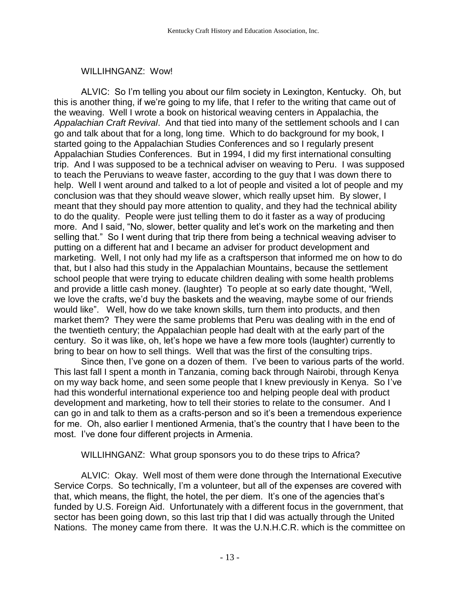#### WILLIHNGANZ: Wow!

ALVIC: So I'm telling you about our film society in Lexington, Kentucky. Oh, but this is another thing, if we're going to my life, that I refer to the writing that came out of the weaving. Well I wrote a book on historical weaving centers in Appalachia, the *Appalachian Craft Revival*. And that tied into many of the settlement schools and I can go and talk about that for a long, long time. Which to do background for my book, I started going to the Appalachian Studies Conferences and so I regularly present Appalachian Studies Conferences. But in 1994, I did my first international consulting trip. And I was supposed to be a technical adviser on weaving to Peru. I was supposed to teach the Peruvians to weave faster, according to the guy that I was down there to help. Well I went around and talked to a lot of people and visited a lot of people and my conclusion was that they should weave slower, which really upset him. By slower, I meant that they should pay more attention to quality, and they had the technical ability to do the quality. People were just telling them to do it faster as a way of producing more. And I said, "No, slower, better quality and let's work on the marketing and then selling that." So I went during that trip there from being a technical weaving adviser to putting on a different hat and I became an adviser for product development and marketing. Well, I not only had my life as a craftsperson that informed me on how to do that, but I also had this study in the Appalachian Mountains, because the settlement school people that were trying to educate children dealing with some health problems and provide a little cash money. (laughter) To people at so early date thought, "Well, we love the crafts, we'd buy the baskets and the weaving, maybe some of our friends would like". Well, how do we take known skills, turn them into products, and then market them? They were the same problems that Peru was dealing with in the end of the twentieth century; the Appalachian people had dealt with at the early part of the century. So it was like, oh, let's hope we have a few more tools (laughter) currently to bring to bear on how to sell things. Well that was the first of the consulting trips.

Since then, I've gone on a dozen of them. I've been to various parts of the world. This last fall I spent a month in Tanzania, coming back through Nairobi, through Kenya on my way back home, and seen some people that I knew previously in Kenya. So I've had this wonderful international experience too and helping people deal with product development and marketing, how to tell their stories to relate to the consumer. And I can go in and talk to them as a crafts-person and so it's been a tremendous experience for me. Oh, also earlier I mentioned Armenia, that's the country that I have been to the most. I've done four different projects in Armenia.

#### WILLIHNGANZ: What group sponsors you to do these trips to Africa?

ALVIC: Okay. Well most of them were done through the International Executive Service Corps. So technically, I'm a volunteer, but all of the expenses are covered with that, which means, the flight, the hotel, the per diem. It's one of the agencies that's funded by U.S. Foreign Aid. Unfortunately with a different focus in the government, that sector has been going down, so this last trip that I did was actually through the United Nations. The money came from there. It was the U.N.H.C.R. which is the committee on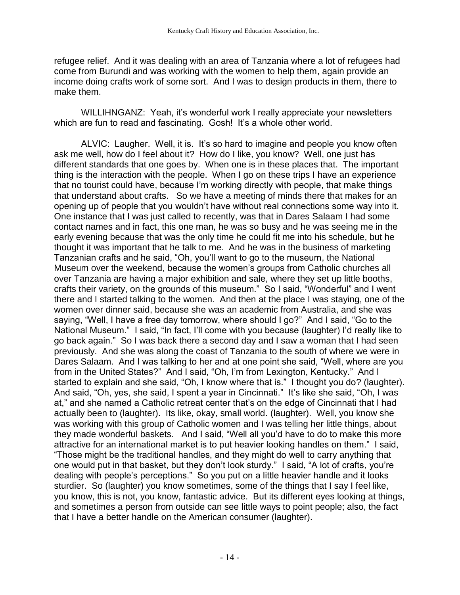refugee relief. And it was dealing with an area of Tanzania where a lot of refugees had come from Burundi and was working with the women to help them, again provide an income doing crafts work of some sort. And I was to design products in them, there to make them.

WILLIHNGANZ: Yeah, it's wonderful work I really appreciate your newsletters which are fun to read and fascinating. Gosh! It's a whole other world.

ALVIC: Laugher. Well, it is. It's so hard to imagine and people you know often ask me well, how do I feel about it? How do I like, you know? Well, one just has different standards that one goes by. When one is in these places that. The important thing is the interaction with the people. When I go on these trips I have an experience that no tourist could have, because I'm working directly with people, that make things that understand about crafts. So we have a meeting of minds there that makes for an opening up of people that you wouldn't have without real connections some way into it. One instance that I was just called to recently, was that in Dares Salaam I had some contact names and in fact, this one man, he was so busy and he was seeing me in the early evening because that was the only time he could fit me into his schedule, but he thought it was important that he talk to me. And he was in the business of marketing Tanzanian crafts and he said, "Oh, you'll want to go to the museum, the National Museum over the weekend, because the women's groups from Catholic churches all over Tanzania are having a major exhibition and sale, where they set up little booths, crafts their variety, on the grounds of this museum." So I said, "Wonderful" and I went there and I started talking to the women. And then at the place I was staying, one of the women over dinner said, because she was an academic from Australia, and she was saying, "Well, I have a free day tomorrow, where should I go?" And I said, "Go to the National Museum." I said, "In fact, I'll come with you because (laughter) I'd really like to go back again." So I was back there a second day and I saw a woman that I had seen previously. And she was along the coast of Tanzania to the south of where we were in Dares Salaam. And I was talking to her and at one point she said, "Well, where are you from in the United States?" And I said, "Oh, I'm from Lexington, Kentucky." And I started to explain and she said, "Oh, I know where that is." I thought you do? (laughter). And said, "Oh, yes, she said, I spent a year in Cincinnati." It's like she said, "Oh, I was at," and she named a Catholic retreat center that's on the edge of Cincinnati that I had actually been to (laughter). Its like, okay, small world. (laughter). Well, you know she was working with this group of Catholic women and I was telling her little things, about they made wonderful baskets. And I said, "Well all you'd have to do to make this more attractive for an international market is to put heavier looking handles on them." I said, "Those might be the traditional handles, and they might do well to carry anything that one would put in that basket, but they don't look sturdy." I said, "A lot of crafts, you're dealing with people's perceptions." So you put on a little heavier handle and it looks sturdier. So (laughter) you know sometimes, some of the things that I say I feel like, you know, this is not, you know, fantastic advice. But its different eyes looking at things, and sometimes a person from outside can see little ways to point people; also, the fact that I have a better handle on the American consumer (laughter).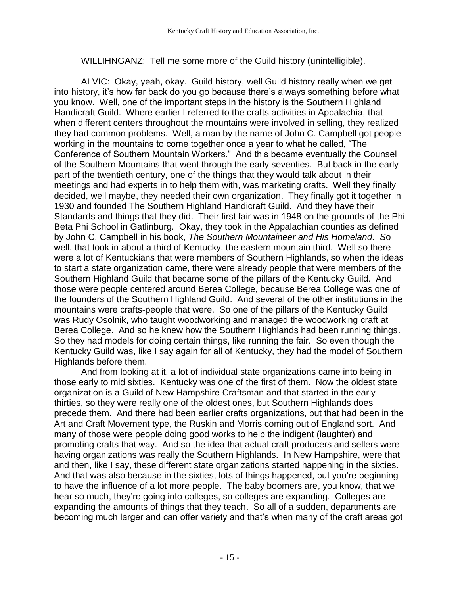WILLIHNGANZ: Tell me some more of the Guild history (unintelligible).

ALVIC: Okay, yeah, okay. Guild history, well Guild history really when we get into history, it's how far back do you go because there's always something before what you know. Well, one of the important steps in the history is the Southern Highland Handicraft Guild. Where earlier I referred to the crafts activities in Appalachia, that when different centers throughout the mountains were involved in selling, they realized they had common problems. Well, a man by the name of John C. Campbell got people working in the mountains to come together once a year to what he called, "The Conference of Southern Mountain Workers." And this became eventually the Counsel of the Southern Mountains that went through the early seventies. But back in the early part of the twentieth century, one of the things that they would talk about in their meetings and had experts in to help them with, was marketing crafts. Well they finally decided, well maybe, they needed their own organization. They finally got it together in 1930 and founded The Southern Highland Handicraft Guild. And they have their Standards and things that they did. Their first fair was in 1948 on the grounds of the Phi Beta Phi School in Gatlinburg. Okay, they took in the Appalachian counties as defined by John C. Campbell in his book, *The Southern Mountaineer and His Homeland. S*o well, that took in about a third of Kentucky, the eastern mountain third. Well so there were a lot of Kentuckians that were members of Southern Highlands, so when the ideas to start a state organization came, there were already people that were members of the Southern Highland Guild that became some of the pillars of the Kentucky Guild. And those were people centered around Berea College, because Berea College was one of the founders of the Southern Highland Guild. And several of the other institutions in the mountains were crafts-people that were. So one of the pillars of the Kentucky Guild was Rudy Osolnik, who taught woodworking and managed the woodworking craft at Berea College. And so he knew how the Southern Highlands had been running things. So they had models for doing certain things, like running the fair. So even though the Kentucky Guild was, like I say again for all of Kentucky, they had the model of Southern Highlands before them.

And from looking at it, a lot of individual state organizations came into being in those early to mid sixties. Kentucky was one of the first of them. Now the oldest state organization is a Guild of New Hampshire Craftsman and that started in the early thirties, so they were really one of the oldest ones, but Southern Highlands does precede them. And there had been earlier crafts organizations, but that had been in the Art and Craft Movement type, the Ruskin and Morris coming out of England sort. And many of those were people doing good works to help the indigent (laughter) and promoting crafts that way. And so the idea that actual craft producers and sellers were having organizations was really the Southern Highlands. In New Hampshire, were that and then, like I say, these different state organizations started happening in the sixties. And that was also because in the sixties, lots of things happened, but you're beginning to have the influence of a lot more people. The baby boomers are, you know, that we hear so much, they're going into colleges, so colleges are expanding. Colleges are expanding the amounts of things that they teach. So all of a sudden, departments are becoming much larger and can offer variety and that's when many of the craft areas got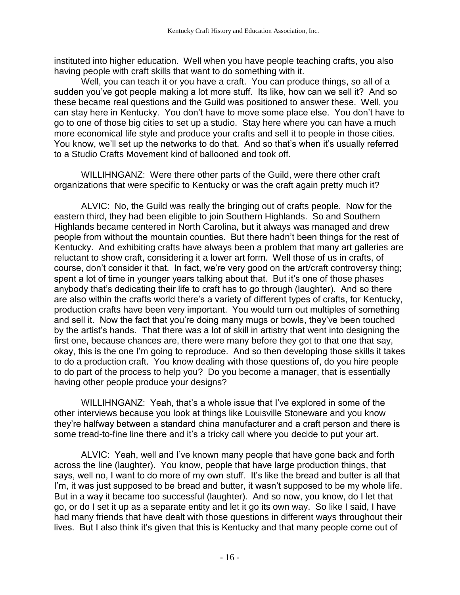instituted into higher education. Well when you have people teaching crafts, you also having people with craft skills that want to do something with it.

Well, you can teach it or you have a craft. You can produce things, so all of a sudden you've got people making a lot more stuff. Its like, how can we sell it? And so these became real questions and the Guild was positioned to answer these. Well, you can stay here in Kentucky. You don't have to move some place else. You don't have to go to one of those big cities to set up a studio. Stay here where you can have a much more economical life style and produce your crafts and sell it to people in those cities. You know, we'll set up the networks to do that. And so that's when it's usually referred to a Studio Crafts Movement kind of ballooned and took off.

WILLIHNGANZ: Were there other parts of the Guild, were there other craft organizations that were specific to Kentucky or was the craft again pretty much it?

ALVIC: No, the Guild was really the bringing out of crafts people. Now for the eastern third, they had been eligible to join Southern Highlands. So and Southern Highlands became centered in North Carolina, but it always was managed and drew people from without the mountain counties. But there hadn't been things for the rest of Kentucky. And exhibiting crafts have always been a problem that many art galleries are reluctant to show craft, considering it a lower art form. Well those of us in crafts, of course, don't consider it that. In fact, we're very good on the art/craft controversy thing; spent a lot of time in younger years talking about that. But it's one of those phases anybody that's dedicating their life to craft has to go through (laughter). And so there are also within the crafts world there's a variety of different types of crafts, for Kentucky, production crafts have been very important. You would turn out multiples of something and sell it. Now the fact that you're doing many mugs or bowls, they've been touched by the artist's hands. That there was a lot of skill in artistry that went into designing the first one, because chances are, there were many before they got to that one that say, okay, this is the one I'm going to reproduce. And so then developing those skills it takes to do a production craft. You know dealing with those questions of, do you hire people to do part of the process to help you? Do you become a manager, that is essentially having other people produce your designs?

WILLIHNGANZ: Yeah, that's a whole issue that I've explored in some of the other interviews because you look at things like Louisville Stoneware and you know they're halfway between a standard china manufacturer and a craft person and there is some tread-to-fine line there and it's a tricky call where you decide to put your art.

ALVIC: Yeah, well and I've known many people that have gone back and forth across the line (laughter). You know, people that have large production things, that says, well no, I want to do more of my own stuff. It's like the bread and butter is all that I'm, it was just supposed to be bread and butter, it wasn't supposed to be my whole life. But in a way it became too successful (laughter). And so now, you know, do I let that go, or do I set it up as a separate entity and let it go its own way. So like I said, I have had many friends that have dealt with those questions in different ways throughout their lives. But I also think it's given that this is Kentucky and that many people come out of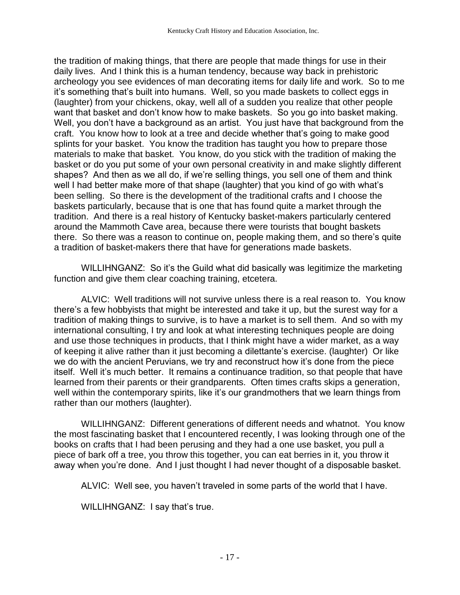the tradition of making things, that there are people that made things for use in their daily lives. And I think this is a human tendency, because way back in prehistoric archeology you see evidences of man decorating items for daily life and work. So to me it's something that's built into humans. Well, so you made baskets to collect eggs in (laughter) from your chickens, okay, well all of a sudden you realize that other people want that basket and don't know how to make baskets. So you go into basket making. Well, you don't have a background as an artist. You just have that background from the craft. You know how to look at a tree and decide whether that's going to make good splints for your basket. You know the tradition has taught you how to prepare those materials to make that basket. You know, do you stick with the tradition of making the basket or do you put some of your own personal creativity in and make slightly different shapes? And then as we all do, if we're selling things, you sell one of them and think well I had better make more of that shape (laughter) that you kind of go with what's been selling. So there is the development of the traditional crafts and I choose the baskets particularly, because that is one that has found quite a market through the tradition. And there is a real history of Kentucky basket-makers particularly centered around the Mammoth Cave area, because there were tourists that bought baskets there. So there was a reason to continue on, people making them, and so there's quite a tradition of basket-makers there that have for generations made baskets.

WILLIHNGANZ: So it's the Guild what did basically was legitimize the marketing function and give them clear coaching training, etcetera.

ALVIC: Well traditions will not survive unless there is a real reason to. You know there's a few hobbyists that might be interested and take it up, but the surest way for a tradition of making things to survive, is to have a market is to sell them. And so with my international consulting, I try and look at what interesting techniques people are doing and use those techniques in products, that I think might have a wider market, as a way of keeping it alive rather than it just becoming a dilettante's exercise. (laughter) Or like we do with the ancient Peruvians, we try and reconstruct how it's done from the piece itself. Well it's much better. It remains a continuance tradition, so that people that have learned from their parents or their grandparents. Often times crafts skips a generation, well within the contemporary spirits, like it's our grandmothers that we learn things from rather than our mothers (laughter).

WILLIHNGANZ: Different generations of different needs and whatnot. You know the most fascinating basket that I encountered recently, I was looking through one of the books on crafts that I had been perusing and they had a one use basket, you pull a piece of bark off a tree, you throw this together, you can eat berries in it, you throw it away when you're done. And I just thought I had never thought of a disposable basket.

ALVIC: Well see, you haven't traveled in some parts of the world that I have.

WILLIHNGANZ: I say that's true.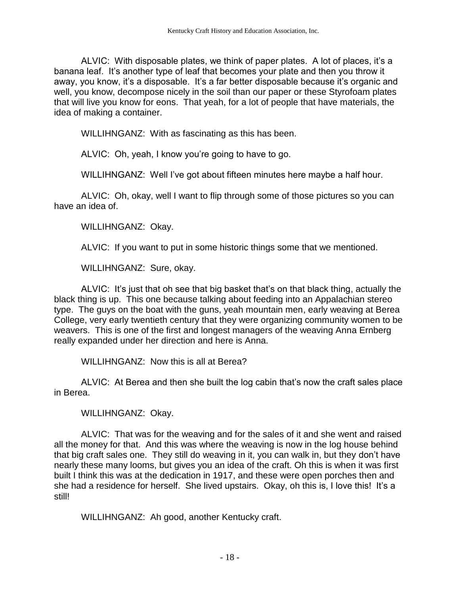ALVIC: With disposable plates, we think of paper plates. A lot of places, it's a banana leaf. It's another type of leaf that becomes your plate and then you throw it away, you know, it's a disposable. It's a far better disposable because it's organic and well, you know, decompose nicely in the soil than our paper or these Styrofoam plates that will live you know for eons. That yeah, for a lot of people that have materials, the idea of making a container.

WILLIHNGANZ: With as fascinating as this has been.

ALVIC: Oh, yeah, I know you're going to have to go.

WILLIHNGANZ: Well I've got about fifteen minutes here maybe a half hour.

ALVIC: Oh, okay, well I want to flip through some of those pictures so you can have an idea of.

WILLIHNGANZ: Okay.

ALVIC: If you want to put in some historic things some that we mentioned.

WILLIHNGANZ: Sure, okay.

ALVIC: It's just that oh see that big basket that's on that black thing, actually the black thing is up. This one because talking about feeding into an Appalachian stereo type. The guys on the boat with the guns, yeah mountain men, early weaving at Berea College, very early twentieth century that they were organizing community women to be weavers. This is one of the first and longest managers of the weaving Anna Ernberg really expanded under her direction and here is Anna.

WILLIHNGANZ: Now this is all at Berea?

ALVIC: At Berea and then she built the log cabin that's now the craft sales place in Berea.

WILLIHNGANZ: Okay.

ALVIC: That was for the weaving and for the sales of it and she went and raised all the money for that. And this was where the weaving is now in the log house behind that big craft sales one. They still do weaving in it, you can walk in, but they don't have nearly these many looms, but gives you an idea of the craft. Oh this is when it was first built I think this was at the dedication in 1917, and these were open porches then and she had a residence for herself. She lived upstairs. Okay, oh this is, I love this! It's a still!

WILLIHNGANZ: Ah good, another Kentucky craft.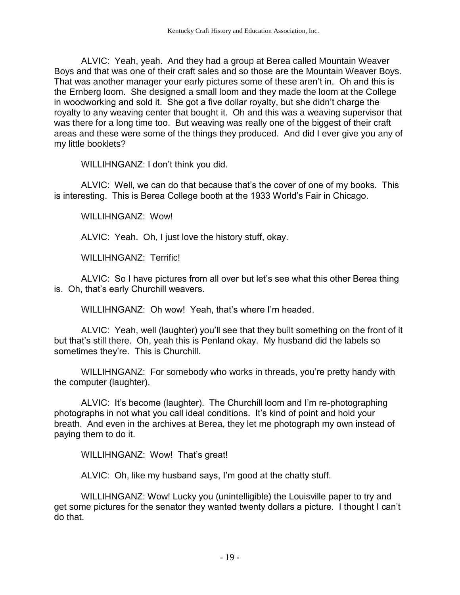ALVIC: Yeah, yeah. And they had a group at Berea called Mountain Weaver Boys and that was one of their craft sales and so those are the Mountain Weaver Boys. That was another manager your early pictures some of these aren't in. Oh and this is the Ernberg loom. She designed a small loom and they made the loom at the College in woodworking and sold it. She got a five dollar royalty, but she didn't charge the royalty to any weaving center that bought it. Oh and this was a weaving supervisor that was there for a long time too. But weaving was really one of the biggest of their craft areas and these were some of the things they produced. And did I ever give you any of my little booklets?

WILLIHNGANZ: I don't think you did.

ALVIC: Well, we can do that because that's the cover of one of my books. This is interesting. This is Berea College booth at the 1933 World's Fair in Chicago.

WILLIHNGANZ: Wow!

ALVIC: Yeah. Oh, I just love the history stuff, okay.

WILLIHNGANZ: Terrific!

ALVIC: So I have pictures from all over but let's see what this other Berea thing is. Oh, that's early Churchill weavers.

WILLIHNGANZ: Oh wow! Yeah, that's where I'm headed.

ALVIC: Yeah, well (laughter) you'll see that they built something on the front of it but that's still there. Oh, yeah this is Penland okay. My husband did the labels so sometimes they're. This is Churchill.

WILLIHNGANZ: For somebody who works in threads, you're pretty handy with the computer (laughter).

ALVIC: It's become (laughter). The Churchill loom and I'm re-photographing photographs in not what you call ideal conditions. It's kind of point and hold your breath. And even in the archives at Berea, they let me photograph my own instead of paying them to do it.

WILLIHNGANZ: Wow! That's great!

ALVIC: Oh, like my husband says, I'm good at the chatty stuff.

WILLIHNGANZ: Wow! Lucky you (unintelligible) the Louisville paper to try and get some pictures for the senator they wanted twenty dollars a picture. I thought I can't do that.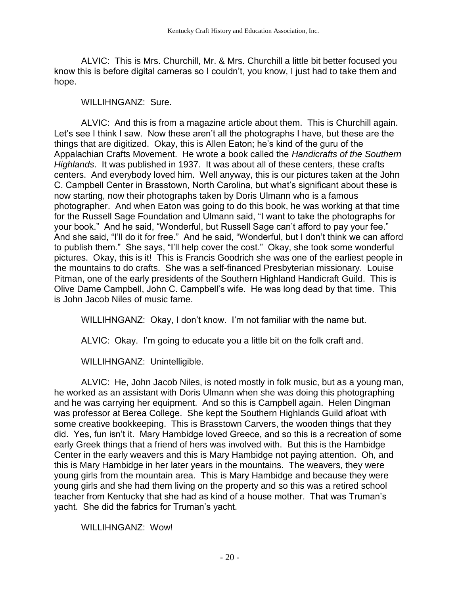ALVIC: This is Mrs. Churchill, Mr. & Mrs. Churchill a little bit better focused you know this is before digital cameras so I couldn't, you know, I just had to take them and hope.

WILLIHNGANZ: Sure.

ALVIC: And this is from a magazine article about them. This is Churchill again. Let's see I think I saw. Now these aren't all the photographs I have, but these are the things that are digitized. Okay, this is Allen Eaton; he's kind of the guru of the Appalachian Crafts Movement. He wrote a book called the *Handicrafts of the Southern Highlands*. It was published in 1937. It was about all of these centers, these crafts centers. And everybody loved him. Well anyway, this is our pictures taken at the John C. Campbell Center in Brasstown, North Carolina, but what's significant about these is now starting, now their photographs taken by Doris Ulmann who is a famous photographer. And when Eaton was going to do this book, he was working at that time for the Russell Sage Foundation and Ulmann said, "I want to take the photographs for your book." And he said, "Wonderful, but Russell Sage can't afford to pay your fee." And she said, "I'll do it for free." And he said, "Wonderful, but I don't think we can afford to publish them." She says, "I'll help cover the cost." Okay, she took some wonderful pictures. Okay, this is it! This is Francis Goodrich she was one of the earliest people in the mountains to do crafts. She was a self-financed Presbyterian missionary. Louise Pitman, one of the early presidents of the Southern Highland Handicraft Guild. This is Olive Dame Campbell, John C. Campbell's wife. He was long dead by that time. This is John Jacob Niles of music fame.

WILLIHNGANZ: Okay, I don't know. I'm not familiar with the name but.

ALVIC: Okay. I'm going to educate you a little bit on the folk craft and.

WILLIHNGANZ: Unintelligible.

ALVIC: He, John Jacob Niles, is noted mostly in folk music, but as a young man, he worked as an assistant with Doris Ulmann when she was doing this photographing and he was carrying her equipment. And so this is Campbell again. Helen Dingman was professor at Berea College. She kept the Southern Highlands Guild afloat with some creative bookkeeping. This is Brasstown Carvers, the wooden things that they did. Yes, fun isn't it. Mary Hambidge loved Greece, and so this is a recreation of some early Greek things that a friend of hers was involved with. But this is the Hambidge Center in the early weavers and this is Mary Hambidge not paying attention. Oh, and this is Mary Hambidge in her later years in the mountains. The weavers, they were young girls from the mountain area. This is Mary Hambidge and because they were young girls and she had them living on the property and so this was a retired school teacher from Kentucky that she had as kind of a house mother. That was Truman's yacht. She did the fabrics for Truman's yacht.

WILLIHNGANZ: Wow!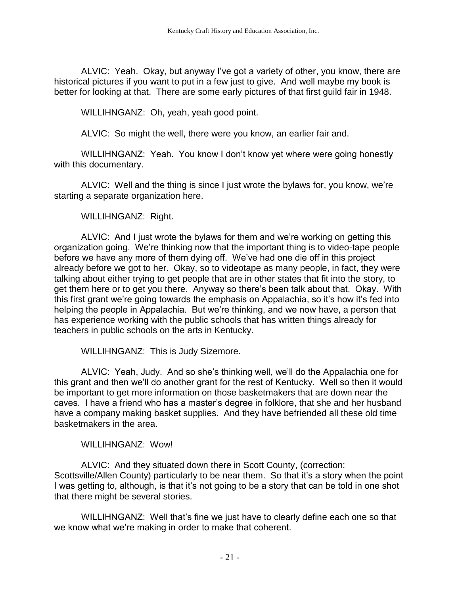ALVIC: Yeah. Okay, but anyway I've got a variety of other, you know, there are historical pictures if you want to put in a few just to give. And well maybe my book is better for looking at that. There are some early pictures of that first guild fair in 1948.

WILLIHNGANZ: Oh, yeah, yeah good point.

ALVIC: So might the well, there were you know, an earlier fair and.

WILLIHNGANZ: Yeah. You know I don't know yet where were going honestly with this documentary.

ALVIC: Well and the thing is since I just wrote the bylaws for, you know, we're starting a separate organization here.

WILLIHNGANZ: Right.

ALVIC: And I just wrote the bylaws for them and we're working on getting this organization going. We're thinking now that the important thing is to video-tape people before we have any more of them dying off. We've had one die off in this project already before we got to her. Okay, so to videotape as many people, in fact, they were talking about either trying to get people that are in other states that fit into the story, to get them here or to get you there. Anyway so there's been talk about that. Okay. With this first grant we're going towards the emphasis on Appalachia, so it's how it's fed into helping the people in Appalachia. But we're thinking, and we now have, a person that has experience working with the public schools that has written things already for teachers in public schools on the arts in Kentucky.

WILLIHNGANZ: This is Judy Sizemore.

ALVIC: Yeah, Judy. And so she's thinking well, we'll do the Appalachia one for this grant and then we'll do another grant for the rest of Kentucky. Well so then it would be important to get more information on those basketmakers that are down near the caves. I have a friend who has a master's degree in folklore, that she and her husband have a company making basket supplies. And they have befriended all these old time basketmakers in the area.

WILLIHNGANZ: Wow!

ALVIC: And they situated down there in Scott County, (correction: Scottsville/Allen County) particularly to be near them. So that it's a story when the point I was getting to, although, is that it's not going to be a story that can be told in one shot that there might be several stories.

WILLIHNGANZ: Well that's fine we just have to clearly define each one so that we know what we're making in order to make that coherent.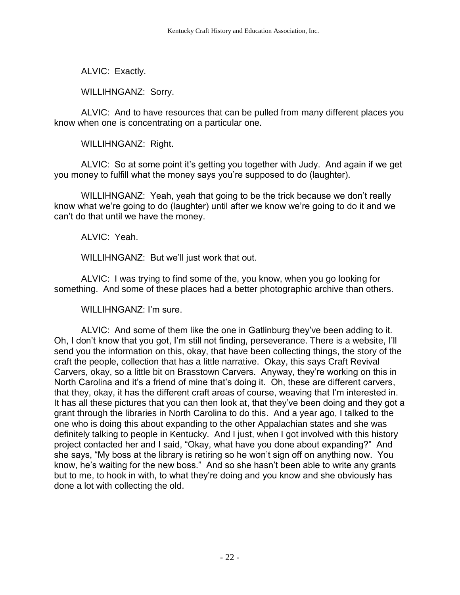ALVIC: Exactly.

WILLIHNGANZ: Sorry.

ALVIC: And to have resources that can be pulled from many different places you know when one is concentrating on a particular one.

WILLIHNGANZ: Right.

ALVIC: So at some point it's getting you together with Judy. And again if we get you money to fulfill what the money says you're supposed to do (laughter).

WILLIHNGANZ: Yeah, yeah that going to be the trick because we don't really know what we're going to do (laughter) until after we know we're going to do it and we can't do that until we have the money.

ALVIC: Yeah.

WILLIHNGANZ: But we'll just work that out.

ALVIC: I was trying to find some of the, you know, when you go looking for something. And some of these places had a better photographic archive than others.

WILLIHNGANZ: I'm sure.

ALVIC: And some of them like the one in Gatlinburg they've been adding to it. Oh, I don't know that you got, I'm still not finding, perseverance. There is a website, I'll send you the information on this, okay, that have been collecting things, the story of the craft the people, collection that has a little narrative. Okay, this says Craft Revival Carvers, okay, so a little bit on Brasstown Carvers. Anyway, they're working on this in North Carolina and it's a friend of mine that's doing it. Oh, these are different carvers, that they, okay, it has the different craft areas of course, weaving that I'm interested in. It has all these pictures that you can then look at, that they've been doing and they got a grant through the libraries in North Carolina to do this. And a year ago, I talked to the one who is doing this about expanding to the other Appalachian states and she was definitely talking to people in Kentucky. And I just, when I got involved with this history project contacted her and I said, "Okay, what have you done about expanding?" And she says, "My boss at the library is retiring so he won't sign off on anything now. You know, he's waiting for the new boss." And so she hasn't been able to write any grants but to me, to hook in with, to what they're doing and you know and she obviously has done a lot with collecting the old.